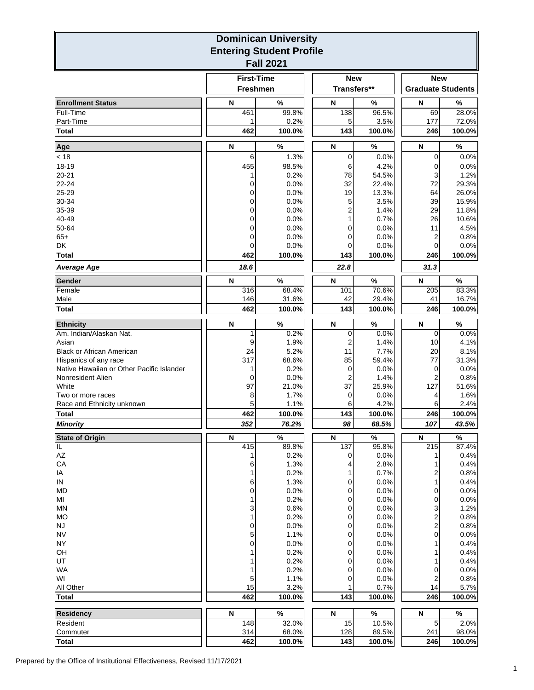| <b>Dominican University</b><br><b>Entering Student Profile</b> |                                      |                |  |                           |                |                                        |                 |  |  |  |  |
|----------------------------------------------------------------|--------------------------------------|----------------|--|---------------------------|----------------|----------------------------------------|-----------------|--|--|--|--|
| <b>Fall 2021</b>                                               |                                      |                |  |                           |                |                                        |                 |  |  |  |  |
|                                                                | <b>First-Time</b><br><b>Freshmen</b> |                |  | <b>New</b><br>Transfers** |                | <b>New</b><br><b>Graduate Students</b> |                 |  |  |  |  |
| <b>Enrollment Status</b>                                       | N                                    | $\frac{9}{6}$  |  | N                         | %              | N                                      | %               |  |  |  |  |
| Full-Time                                                      | 461                                  | 99.8%          |  | 138                       | 96.5%          | 69                                     | 28.0%           |  |  |  |  |
| Part-Time<br><b>Total</b>                                      | 1<br>462                             | 0.2%<br>100.0% |  | 5<br>143                  | 3.5%<br>100.0% | 177<br>246                             | 72.0%<br>100.0% |  |  |  |  |
| Age                                                            | N                                    | %              |  | N                         | $\%$           | N                                      | $\%$            |  |  |  |  |
| < 18                                                           | 6                                    | 1.3%           |  | 0                         | 0.0%           | 0                                      | 0.0%            |  |  |  |  |
| 18-19                                                          | 455                                  | 98.5%          |  | 6                         | 4.2%           | 0                                      | 0.0%            |  |  |  |  |
| $20 - 21$                                                      | 1                                    | 0.2%           |  | 78                        | 54.5%          | 3                                      | 1.2%            |  |  |  |  |
| 22-24<br>25-29                                                 | 0<br>0                               | 0.0%<br>0.0%   |  | 32<br>19                  | 22.4%<br>13.3% | 72<br>64                               | 29.3%<br>26.0%  |  |  |  |  |
| 30-34                                                          | 0                                    | 0.0%           |  | 5                         | 3.5%           | 39                                     | 15.9%           |  |  |  |  |
| 35-39                                                          | 0                                    | 0.0%           |  |                           | 1.4%           | 29                                     | 11.8%           |  |  |  |  |
| 40-49                                                          | 0                                    | 0.0%           |  | 1                         | 0.7%           | 26                                     | 10.6%           |  |  |  |  |
| 50-64                                                          | 0                                    | 0.0%           |  | 0                         | 0.0%           | 11                                     | 4.5%            |  |  |  |  |
| $65+$<br>DK                                                    | 0<br>0                               | 0.0%<br>0.0%   |  | 0<br>0                    | 0.0%<br>0.0%   | 2<br>0                                 | 0.8%<br>0.0%    |  |  |  |  |
| <b>Total</b>                                                   | 462                                  | 100.0%         |  | 143                       | 100.0%         | 246                                    | 100.0%          |  |  |  |  |
| <b>Average Age</b>                                             | 18.6                                 |                |  | 22.8                      |                | 31.3                                   |                 |  |  |  |  |
| Gender                                                         | N                                    | %              |  | N                         | %              | N                                      | $\%$            |  |  |  |  |
| Female                                                         | 316                                  | 68.4%          |  | 101                       | 70.6%          | 205                                    | 83.3%           |  |  |  |  |
| Male                                                           | 146                                  | 31.6%          |  | 42                        | 29.4%          | 41                                     | 16.7%           |  |  |  |  |
| <b>Total</b>                                                   | 462                                  | 100.0%         |  | 143                       | 100.0%         | 246                                    | 100.0%          |  |  |  |  |
| <b>Ethnicity</b>                                               | N                                    | %              |  | N                         | $\%$           | N                                      | %               |  |  |  |  |
| Am. Indian/Alaskan Nat.                                        | 1                                    | 0.2%           |  | 0                         | 0.0%           | 0                                      | 0.0%            |  |  |  |  |
| Asian<br><b>Black or African American</b>                      | 9<br>24                              | 1.9%<br>5.2%   |  | 2<br>11                   | 1.4%<br>7.7%   | 10<br>20                               | 4.1%<br>8.1%    |  |  |  |  |
| Hispanics of any race                                          | 317                                  | 68.6%          |  | 85                        | 59.4%          | 77                                     | 31.3%           |  |  |  |  |
| Native Hawaiian or Other Pacific Islander                      | 1                                    | 0.2%           |  | 0                         | 0.0%           | 0                                      | 0.0%            |  |  |  |  |
| Nonresident Alien<br>White                                     | 0                                    | 0.0%           |  | 2                         | 1.4%           | 2                                      | 0.8%            |  |  |  |  |
| Two or more races                                              | 97<br>8                              | 21.0%<br>1.7%  |  | 37<br>0                   | 25.9%<br>0.0%  | 127<br>4                               | 51.6%<br>1.6%   |  |  |  |  |
| Race and Ethnicity unknown                                     | 5                                    | 1.1%           |  | 6                         | 4.2%           | 6                                      | 2.4%            |  |  |  |  |
| <b>Total</b>                                                   | 462                                  | 100.0%         |  | 143                       | 100.0%         | 246                                    | 100.0%          |  |  |  |  |
| <b>Minority</b>                                                | 352                                  | 76.2%          |  | 98                        | 68.5%          | 107                                    | 43.5%           |  |  |  |  |
| <b>State of Origin</b>                                         | N                                    | %              |  | N                         | %              | $\overline{\mathsf{N}}$                | %               |  |  |  |  |
| π<br>AZ                                                        | 415<br>1                             | 89.8%<br>0.2%  |  | 137<br>0                  | 95.8%<br>0.0%  | 215<br>1                               | 87.4%<br>0.4%   |  |  |  |  |
| CA                                                             | 6                                    | 1.3%           |  | 4                         | 2.8%           |                                        | 0.4%            |  |  |  |  |
| IA                                                             | 1                                    | 0.2%           |  | 1                         | 0.7%           | 2                                      | 0.8%            |  |  |  |  |
| IN                                                             | 6                                    | 1.3%           |  | 0                         | 0.0%           | 1                                      | 0.4%            |  |  |  |  |
| <b>MD</b><br>MI                                                | 0<br>1                               | 0.0%<br>0.2%   |  | 0<br>0                    | 0.0%<br>0.0%   | 0<br>0                                 | 0.0%<br>0.0%    |  |  |  |  |
| <b>MN</b>                                                      | 3                                    | 0.6%           |  | 0                         | 0.0%           | 3                                      | 1.2%            |  |  |  |  |
| <b>MO</b>                                                      | 1                                    | 0.2%           |  | 0                         | 0.0%           | $\overline{\mathbf{c}}$                | 0.8%            |  |  |  |  |
| <b>NJ</b>                                                      | 0                                    | 0.0%           |  | 0                         | 0.0%           | 2                                      | 0.8%            |  |  |  |  |
| <b>NV</b><br><b>NY</b>                                         | 5<br>0                               | 1.1%<br>0.0%   |  | 0<br>0                    | 0.0%<br>0.0%   | 0                                      | 0.0%<br>0.4%    |  |  |  |  |
| OH                                                             | 1                                    | 0.2%           |  | 0                         | 0.0%           |                                        | 0.4%            |  |  |  |  |
| UT                                                             | 1                                    | 0.2%           |  | 0                         | 0.0%           |                                        | 0.4%            |  |  |  |  |
| <b>WA</b>                                                      | 1                                    | 0.2%           |  | 0                         | 0.0%           | 0                                      | 0.0%            |  |  |  |  |
| WI<br>All Other                                                | 5<br>15                              | 1.1%<br>3.2%   |  | 0<br>1                    | 0.0%<br>0.7%   | 2<br>14                                | 0.8%<br>5.7%    |  |  |  |  |
| <b>Total</b>                                                   | 462                                  | 100.0%         |  | 143                       | 100.0%         | 246                                    | 100.0%          |  |  |  |  |
|                                                                |                                      | $\%$           |  |                           |                |                                        | $\%$            |  |  |  |  |
| <b>Residency</b><br>Resident                                   | N<br>148                             | 32.0%          |  | ${\sf N}$<br>15           | $\%$<br>10.5%  | ${\sf N}$<br>5                         | 2.0%            |  |  |  |  |
| Commuter                                                       | 314                                  | 68.0%          |  | 128                       | 89.5%          | 241                                    | 98.0%           |  |  |  |  |
| <b>Total</b>                                                   | 462                                  | 100.0%         |  | 143                       | 100.0%         | 246                                    | 100.0%          |  |  |  |  |